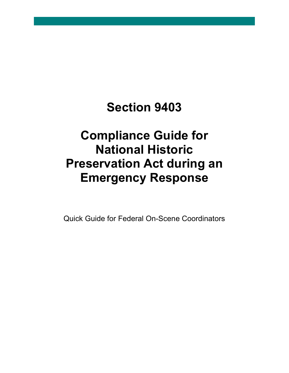# **Section 9403**

# **Compliance Guide for National Historic Preservation Act during an Emergency Response**

Quick Guide for Federal On-Scene Coordinators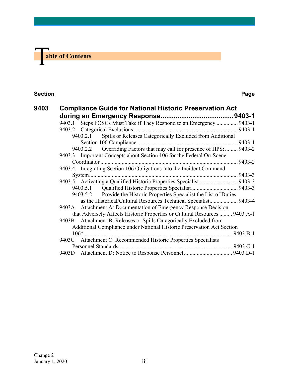

#### **Section Page**

| 9403 |                                                                        | <b>Compliance Guide for National Historic Preservation Act</b>             |  |  |  |
|------|------------------------------------------------------------------------|----------------------------------------------------------------------------|--|--|--|
|      |                                                                        |                                                                            |  |  |  |
|      |                                                                        | 9403.1 Steps FOSCs Must Take if They Respond to an Emergency  9403-1       |  |  |  |
|      |                                                                        |                                                                            |  |  |  |
|      | 9403.2.1 Spills or Releases Categorically Excluded from Additional     |                                                                            |  |  |  |
|      |                                                                        |                                                                            |  |  |  |
|      |                                                                        | 9403.2.2 Overriding Factors that may call for presence of HPS:  9403-2     |  |  |  |
|      |                                                                        | 9403.3 Important Concepts about Section 106 for the Federal On-Scene       |  |  |  |
|      |                                                                        |                                                                            |  |  |  |
|      |                                                                        | 9403.4 Integrating Section 106 Obligations into the Incident Command       |  |  |  |
|      |                                                                        |                                                                            |  |  |  |
|      |                                                                        |                                                                            |  |  |  |
|      |                                                                        |                                                                            |  |  |  |
|      | 9403.5.2 Provide the Historic Properties Specialist the List of Duties |                                                                            |  |  |  |
|      |                                                                        | as the Historical/Cultural Resources Technical Specialist 9403-4           |  |  |  |
|      |                                                                        | 9403A Attachment A: Documentation of Emergency Response Decision           |  |  |  |
|      |                                                                        | that Adversely Affects Historic Properties or Cultural Resources  9403 A-1 |  |  |  |
|      |                                                                        | 9403B Attachment B: Releases or Spills Categorically Excluded from         |  |  |  |
|      | Additional Compliance under National Historic Preservation Act Section |                                                                            |  |  |  |
|      |                                                                        |                                                                            |  |  |  |
|      |                                                                        | 9403C Attachment C: Recommended Historic Properties Specialists            |  |  |  |
|      |                                                                        |                                                                            |  |  |  |
|      |                                                                        |                                                                            |  |  |  |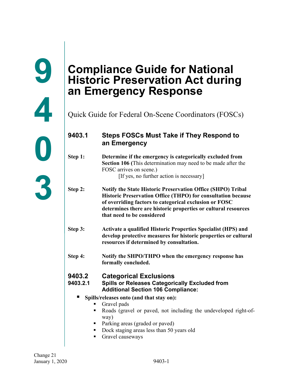# <span id="page-2-1"></span>**Compliance Guide for National Historic Preservation Act during an Emergency Response**

Quick Guide for Federal On-Scene Coordinators (FOSCs)

# <span id="page-2-2"></span>**9403.1 Steps FOSCs Must Take if They Respond to an Emergency**

- **Step 1: Determine if the emergency is categorically excluded from Section 106 (**This determination may need to be made after the FOSC arrives on scene.) [If yes, no further action is necessary]
- **Step 2: Notify the State Historic Preservation Office (SHPO) Tribal Historic Preservation Office (THPO) for consultation because of overriding factors to categorical exclusion or FOSC determines there are historic properties or cultural resources that need to be considered**
- **Step 3: Activate a qualified Historic Properties Specialist (HPS) and develop protective measures for historic properties or cultural resources if determined by consultation.**
- **Step 4: Notify the SHPO/THPO when the emergency response has formally concluded.**

# <span id="page-2-3"></span>**9403.2 Categorical Exclusions**

#### <span id="page-2-4"></span>**9403.2.1 Spills or Releases Categorically Excluded from Additional Section 106 Compliance:**

- **Spills/releases onto (and that stay on):** 
	- Gravel pads
	- Roads (gravel or paved, not including the undeveloped right-ofway)
	- Parking areas (graded or paved)
	- Dock staging areas less than 50 years old
	- Gravel causeways

<span id="page-2-0"></span>**9**

**4**

**0**

**3**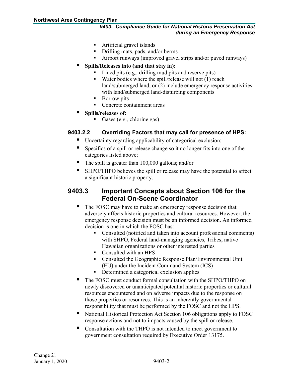#### *9403. Compliance Guide for National Historic Preservation Act during an Emergency Response*

- Artificial gravel islands
- Drilling mats, pads, and/or berms
- Airport runways (improved gravel strips and/or paved runways)
- **Spills/Releases into (and that stay in):** 
	- Lined pits (e.g., drilling mud pits and reserve pits)
	- Water bodies where the spill/release will not  $(1)$  reach land/submerged land, or (2) include emergency response activities with land/submerged land-disturbing components
	- Borrow pits
	- Concrete containment areas
- **Spills/releases of:** 
	- Gases (e.g., chlorine gas)

#### <span id="page-3-0"></span>**9403.2.2 Overriding Factors that may call for presence of HPS:**

- Uncertainty regarding applicability of categorical exclusion;
- Specifics of a spill or release change so it no longer fits into one of the categories listed above;
- The spill is greater than 100,000 gallons; and/or
- SHPO/THPO believes the spill or release may have the potential to affect a significant historic property.

# <span id="page-3-1"></span>**9403.3 Important Concepts about Section 106 for the Federal On-Scene Coordinator**

- The FOSC may have to make an emergency response decision that adversely affects historic properties and cultural resources. However, the emergency response decision must be an informed decision. An informed decision is one in which the FOSC has:
	- Consulted (notified and taken into account professional comments) with SHPO, Federal land-managing agencies, Tribes, native Hawaiian organizations or other interested parties
	- Consulted with an HPS
	- **Consulted the Geographic Response Plan/Environmental Unit** (EU) under the Incident Command System (ICS)
	- Determined a categorical exclusion applies
- The FOSC must conduct formal consultation with the SHPO/THPO on newly discovered or unanticipated potential historic properties or cultural resources encountered and on adverse impacts due to the response on those properties or resources. This is an inherently governmental responsibility that must be performed by the FOSC and not the HPS.
- National Historical Protection Act Section 106 obligations apply to FOSC response actions and not to impacts caused by the spill or release.
- Consultation with the THPO is not intended to meet government to government consultation required by Executive Order 13175.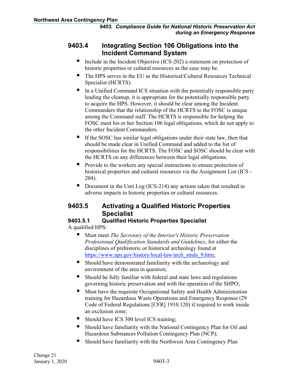## <span id="page-4-0"></span>**9403.4 Integrating Section 106 Obligations into the Incident Command System**

- Include in the Incident Objective (ICS-202) a statement on protection of historic properties or cultural resources as the case may be.
- The HPS serves in the EU as the Historical/Cultural Resources Technical Specialist (HCRTS).
- In a Unified Command ICS situation with the potentially responsible party leading the cleanup, it is appropriate for the potentially responsible party to acquire the HPS. However, it should be clear among the Incident Commanders that the relationship of the HCRTS to the FOSC is unique among the Command staff. The HCRTS is responsible for helping the FOSC meet his or her Section 106 legal obligations, which do not apply to the other Incident Commanders.
- If the SOSC has similar legal obligations under their state law, then that should be made clear in Unified Command and added to the list of responsibilities for the HCRTS. The FOSC and SOSC should be clear with the HCRTS on any differences between their legal obligations.
- Provide to the workers any special instructions to ensure protection of historical properties and cultural resources via the Assignment List (ICS - 204).
- Document in the Unit Log (ICS-214) any actions taken that resulted in adverse impacts to historic properties or cultural resources.

# <span id="page-4-1"></span>**9403.5 Activating a Qualified Historic Properties Specialist**

### <span id="page-4-2"></span>**9403.5.1 Qualified Historic Properties Specialist**

A qualified HPS:

- Must meet *The Secretary of the Interior's Historic Preservation Professional Qualification Standards and Guidelines*, for either the disciplines of prehistoric or historical archeology found at [https://www.nps.gov/history/local-law/arch\\_stnds\\_9.htm;](https://www.nps.gov/history/local-law/arch_stnds_9.htm)
- Should have demonstrated familiarity with the archaeology and environment of the area in question;
- Should be fully familiar with federal and state laws and regulations governing historic preservation and with the operation of the SHPO;
- Must have the requisite Occupational Safety and Health Administration training for Hazardous Waste Operations and Emergency Response (29 Code of Federal Regulations [CFR] 1910.120) if required to work inside an exclusion zone;
- Should have ICS 300 level ICS training;
- Should have familiarity with the National Contingency Plan for Oil and Hazardous Substances Pollution Contingency Plan (NCP);
- Should have familiarity with the Northwest Area Contingency Plan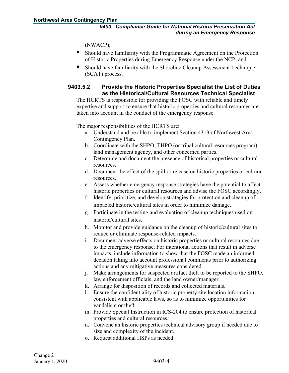(NWACP);

- Should have familiarity with the Programmatic Agreement on the Protection of Historic Properties during Emergency Response under the NCP; and
- Should have familiarity with the Shoreline Cleanup Assessment Technique (SCAT) process.

#### <span id="page-5-0"></span>**9403.5.2 Provide the Historic Properties Specialist the List of Duties as the Historical/Cultural Resources Technical Specialist**

The HCRTS is responsible for providing the FOSC with reliable and timely expertise and support to ensure that historic properties and cultural resources are taken into account in the conduct of the emergency response.

The major responsibilities of the HCRTS are:

- a. Understand and be able to implement Section 4313 of Northwest Area Contingency Plan.
- b. Coordinate with the SHPO, THPO (or tribal cultural resources program), land management agency, and other concerned parties.
- c. Determine and document the presence of historical properties or cultural resources.
- d. Document the effect of the spill or release on historic properties or cultural resources.
- e. Assess whether emergency response strategies have the potential to affect historic properties or cultural resources and advise the FOSC accordingly.
- f. Identify, prioritize, and develop strategies for protection and cleanup of impacted historic/cultural sites in order to minimize damage.
- g. Participate in the testing and evaluation of cleanup techniques used on historic/cultural sites.
- h. Monitor and provide guidance on the cleanup of historic/cultural sites to reduce or eliminate response-related impacts.
- i. Document adverse effects on historic properties or cultural resources due to the emergency response. For intentional actions that result in adverse impacts, include information to show that the FOSC made an informed decision taking into account professional comments prior to authorizing actions and any mitigative measures considered.
- j. Make arrangements for suspected artifact theft to be reported to the SHPO, law enforcement officials, and the land owner/manager.
- k. Arrange for disposition of records and collected materials.
- l. Ensure the confidentiality of historic property site location information, consistent with applicable laws, so as to minimize opportunities for vandalism or theft.
- m. Provide Special Instruction in ICS-204 to ensure protection of historical properties and cultural resources.
- n. Convene an historic properties technical advisory group if needed due to size and complexity of the incident.
- o. Request additional HSPs as needed.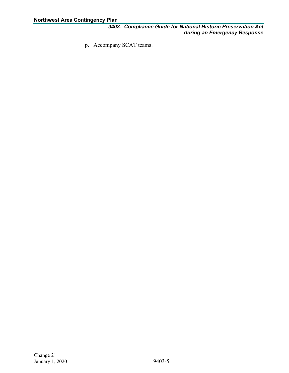p. Accompany SCAT teams.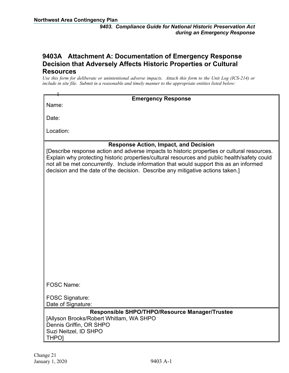#### <span id="page-7-0"></span>**9403A Attachment A: Documentation of Emergency Response Decision that Adversely Affects Historic Properties or Cultural Resources**

*Use this form for deliberate or unintentional adverse impacts. Attach this form to the Unit Log (ICS-214) or include in site file. Submit in a reasonable and timely manner to the appropriate entities listed below:*

| <b>Emergency Response</b><br>Name:                                                                                                                                                                                                                                                                                                                                                                                       |
|--------------------------------------------------------------------------------------------------------------------------------------------------------------------------------------------------------------------------------------------------------------------------------------------------------------------------------------------------------------------------------------------------------------------------|
| Date:                                                                                                                                                                                                                                                                                                                                                                                                                    |
| Location:                                                                                                                                                                                                                                                                                                                                                                                                                |
| <b>Response Action, Impact, and Decision</b><br>[Describe response action and adverse impacts to historic properties or cultural resources.<br>Explain why protecting historic properties/cultural resources and public health/safety could<br>not all be met concurrently. Include information that would support this as an informed<br>decision and the date of the decision. Describe any mitigative actions taken.] |
|                                                                                                                                                                                                                                                                                                                                                                                                                          |
|                                                                                                                                                                                                                                                                                                                                                                                                                          |
|                                                                                                                                                                                                                                                                                                                                                                                                                          |
|                                                                                                                                                                                                                                                                                                                                                                                                                          |
|                                                                                                                                                                                                                                                                                                                                                                                                                          |
| <b>FOSC Name:</b>                                                                                                                                                                                                                                                                                                                                                                                                        |
| <b>FOSC Signature:</b><br>Date of Signature:                                                                                                                                                                                                                                                                                                                                                                             |
| Responsible SHPO/THPO/Resource Manager/Trustee<br>[Allyson Brooks/Robert Whitlam, WA SHPO<br>Dennis Griffin, OR SHPO<br>Suzi Neitzel, ID SHPO<br><b>THPOI</b>                                                                                                                                                                                                                                                            |
|                                                                                                                                                                                                                                                                                                                                                                                                                          |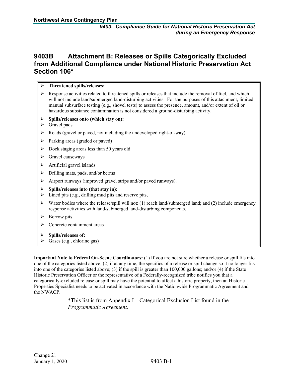## <span id="page-8-0"></span>**9403B Attachment B: Releases or Spills Categorically Excluded from Additional Compliance under National Historic Preservation Act Section 106\***

| ≻                          | Threatened spills/releases:                                                                                                                                                                                                                                                                                                                                                                                         |
|----------------------------|---------------------------------------------------------------------------------------------------------------------------------------------------------------------------------------------------------------------------------------------------------------------------------------------------------------------------------------------------------------------------------------------------------------------|
| ➤                          | Response activities related to threatened spills or releases that include the removal of fuel, and which<br>will not include land/submerged land-disturbing activities. For the purposes of this attachment, limited<br>manual subsurface testing (e.g., shovel tests) to assess the presence, amount, and/or extent of oil or<br>hazardous substance contamination is not considered a ground-disturbing activity. |
| $\blacktriangleright$<br>➤ | Spills/releases onto (which stay on):<br>Gravel pads                                                                                                                                                                                                                                                                                                                                                                |
| ➤                          | Roads (gravel or paved, not including the undeveloped right-of-way)                                                                                                                                                                                                                                                                                                                                                 |
| ≻                          | Parking areas (graded or paved)                                                                                                                                                                                                                                                                                                                                                                                     |
| ➤                          | Dock staging areas less than 50 years old                                                                                                                                                                                                                                                                                                                                                                           |
| ➤                          | Gravel causeways                                                                                                                                                                                                                                                                                                                                                                                                    |
| ➤                          | Artificial gravel islands                                                                                                                                                                                                                                                                                                                                                                                           |
| ≻                          | Drilling mats, pads, and/or berms                                                                                                                                                                                                                                                                                                                                                                                   |
| ➤                          | Airport runways (improved gravel strips and/or paved runways).                                                                                                                                                                                                                                                                                                                                                      |
| ➤<br>➤                     | Spills/releases into (that stay in):<br>Lined pits (e.g., drilling mud pits and reserve pits,                                                                                                                                                                                                                                                                                                                       |
| ➤                          | Water bodies where the release/spill will not: (1) reach land/submerged land; and (2) include emergency<br>response activities with land/submerged land-disturbing components.                                                                                                                                                                                                                                      |
| ➤                          | Borrow pits                                                                                                                                                                                                                                                                                                                                                                                                         |
| ≻                          | Concrete containment areas                                                                                                                                                                                                                                                                                                                                                                                          |
| $\blacktriangleright$      | Spills/releases of:                                                                                                                                                                                                                                                                                                                                                                                                 |
|                            | $\triangleright$ Gases (e.g., chlorine gas)                                                                                                                                                                                                                                                                                                                                                                         |

**Important Note to Federal On-Scene Coordinators:** (1) If you are not sure whether a release or spill fits into one of the categories listed above; (2) if at any time, the specifics of a release or spill change so it no longer fits into one of the categories listed above; (3) if the spill is greater than 100,000 gallons; and/or (4) if the State Historic Preservation Officer or the representative of a Federally-recognized tribe notifies you that a categorically-excluded release or spill may have the potential to affect a historic property, then an Historic Properties Specialist needs to be activated in accordance with the Nationwide Programmatic Agreement and the NWACP.

> $*$ This list is from Appendix I – Categorical Exclusion List found in the *Programmatic Agreement*.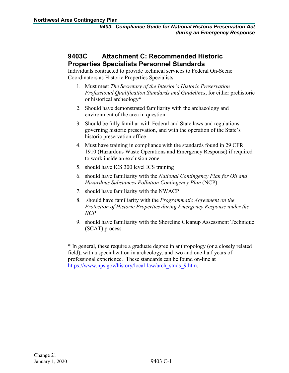# <span id="page-9-0"></span>**9403C Attachment C: Recommended Historic Properties Specialists Personnel Standards**

Individuals contracted to provide technical services to Federal On-Scene Coordinators as Historic Properties Specialists:

- 1. Must meet *The Secretary of the Interior's Historic Preservation Professional Qualification Standards and Guidelines*, for either prehistoric or historical archeology\*
- 2. Should have demonstrated familiarity with the archaeology and environment of the area in question
- 3. Should be fully familiar with Federal and State laws and regulations governing historic preservation, and with the operation of the State's historic preservation office
- 4. Must have training in compliance with the standards found in 29 CFR 1910 (Hazardous Waste Operations and Emergency Response) if required to work inside an exclusion zone
- 5. should have ICS 300 level ICS training
- 6. should have familiarity with the *National Contingency Plan for Oil and Hazardous Substances Pollution Contingency Plan* (NCP)
- 7. should have familiarity with the NWACP
- 8. should have familiarity with the *Programmatic Agreement on the Protection of Historic Properties during Emergency Response under the NCP*
- 9. should have familiarity with the Shoreline Cleanup Assessment Technique (SCAT) process

\* In general, these require a graduate degree in anthropology (or a closely related field), with a specialization in archeology, and two and one-half years of professional experience. These standards can be found on-line at [https://www.nps.gov/history/local-law/arch\\_stnds\\_9.htm.](https://www.nps.gov/history/local-law/arch_stnds_9.htm)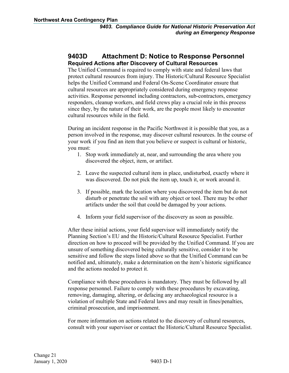#### <span id="page-10-0"></span>**9403D Attachment D: Notice to Response Personnel Required Actions after Discovery of Cultural Resources**

The Unified Command is required to comply with state and federal laws that protect cultural resources from injury. The Historic/Cultural Resource Specialist helps the Unified Command and Federal On-Scene Coordinator ensure that cultural resources are appropriately considered during emergency response activities. Response personnel including contractors, sub-contractors, emergency responders, cleanup workers, and field crews play a crucial role in this process since they, by the nature of their work, are the people most likely to encounter cultural resources while in the field.

During an incident response in the Pacific Northwest it is possible that you, as a person involved in the response, may discover cultural resources. In the course of your work if you find an item that you believe or suspect is cultural or historic, you must:

- 1. Stop work immediately at, near, and surrounding the area where you discovered the object, item, or artifact.
- 2. Leave the suspected cultural item in place, undisturbed, exactly where it was discovered. Do not pick the item up, touch it, or work around it.
- 3. If possible, mark the location where you discovered the item but do not disturb or penetrate the soil with any object or tool. There may be other artifacts under the soil that could be damaged by your actions.
- 4. Inform your field supervisor of the discovery as soon as possible.

After these initial actions, your field supervisor will immediately notify the Planning Section's EU and the Historic/Cultural Resource Specialist. Further direction on how to proceed will be provided by the Unified Command. If you are unsure of something discovered being culturally sensitive, consider it to be sensitive and follow the steps listed above so that the Unified Command can be notified and, ultimately, make a determination on the item's historic significance and the actions needed to protect it.

Compliance with these procedures is mandatory. They must be followed by all response personnel. Failure to comply with these procedures by excavating, removing, damaging, altering, or defacing any archaeological resource is a violation of multiple State and Federal laws and may result in fines/penalties, criminal prosecution, and imprisonment.

For more information on actions related to the discovery of cultural resources, consult with your supervisor or contact the Historic/Cultural Resource Specialist.